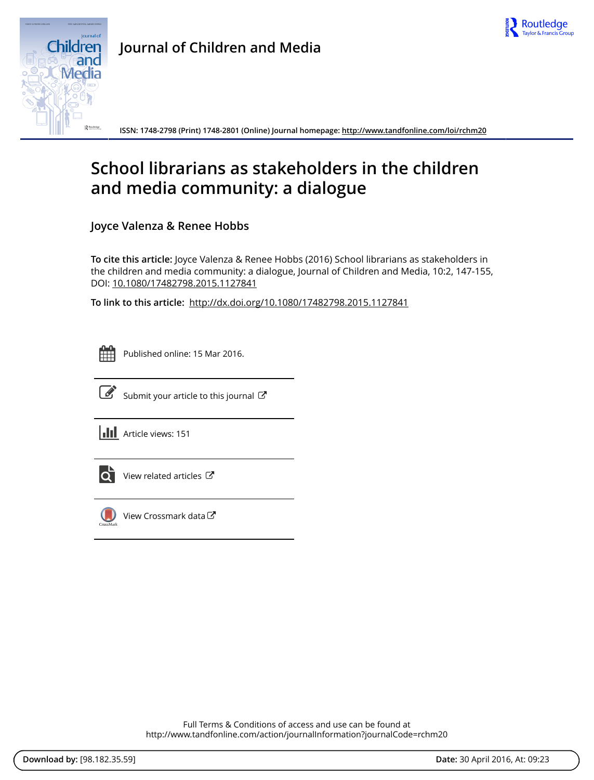



**Journal of Children and Media**

**ISSN: 1748-2798 (Print) 1748-2801 (Online) Journal homepage:<http://www.tandfonline.com/loi/rchm20>**

# **School librarians as stakeholders in the children and media community: a dialogue**

**Joyce Valenza & Renee Hobbs**

**To cite this article:** Joyce Valenza & Renee Hobbs (2016) School librarians as stakeholders in the children and media community: a dialogue, Journal of Children and Media, 10:2, 147-155, DOI: [10.1080/17482798.2015.1127841](http://www.tandfonline.com/action/showCitFormats?doi=10.1080/17482798.2015.1127841)

**To link to this article:** <http://dx.doi.org/10.1080/17482798.2015.1127841>

| - | _ | ۰<br><b>Service Service</b> |
|---|---|-----------------------------|
|   |   |                             |
|   |   |                             |
|   |   |                             |

Published online: 15 Mar 2016.



 $\overline{\mathscr{L}}$  [Submit your article to this journal](http://www.tandfonline.com/action/authorSubmission?journalCode=rchm20&page=instructions)  $\mathbb{Z}$ 

**III** Article views: 151



 $\overrightarrow{Q}$  [View related articles](http://www.tandfonline.com/doi/mlt/10.1080/17482798.2015.1127841)  $\overrightarrow{C}$ 



[View Crossmark data](http://crossmark.crossref.org/dialog/?doi=10.1080/17482798.2015.1127841&domain=pdf&date_stamp=2016-03-15)<sup>で</sup>

Full Terms & Conditions of access and use can be found at <http://www.tandfonline.com/action/journalInformation?journalCode=rchm20>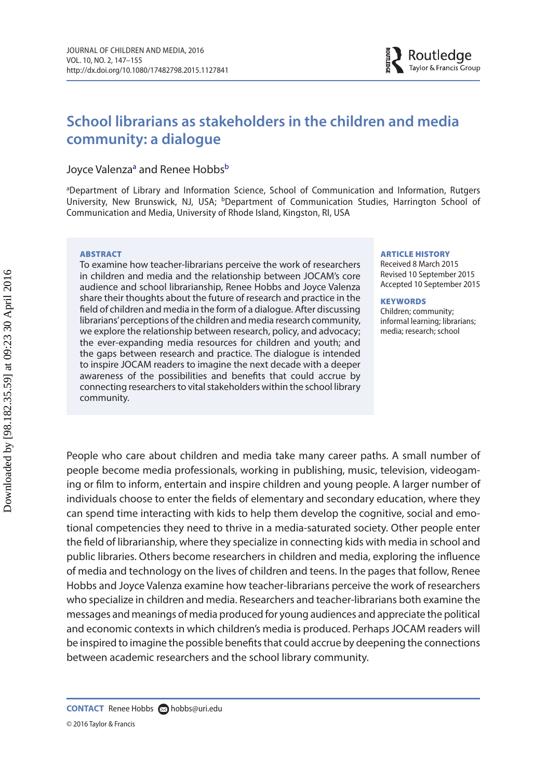## **School librarians as stakeholders in the children and media community: a dialogue**

#### Joyce V[a](#page-1-0)lenza<sup>a</sup> and Renee Ho[b](#page-1-1)bs<sup>b</sup>

<span id="page-1-1"></span><span id="page-1-0"></span>aDepartment of Library and Information Science, School of Communication and Information, Rutgers University, New Brunswick, NJ, USA; <sup>b</sup>Department of Communication Studies, Harrington School of Communication and Media, University of Rhode Island, Kingston, RI, USA

#### ABSTRACT

To examine how teacher-librarians perceive the work of researchers in children and media and the relationship between JOCAM's core audience and school librarianship, Renee Hobbs and Joyce Valenza share their thoughts about the future of research and practice in the field of children and media in the form of a dialogue. After discussing librarians' perceptions of the children and media research community, we explore the relationship between research, policy, and advocacy; the ever-expanding media resources for children and youth; and the gaps between research and practice. The dialogue is intended to inspire JOCAM readers to imagine the next decade with a deeper awareness of the possibilities and benefits that could accrue by connecting researchers to vital stakeholders within the school library community.

#### **ARTICLE HISTORY**

Received 8 March 2015 Revised 10 September 2015 Accepted 10 September 2015

#### **KEYWORDS**

Children; community; informal learning; librarians; media; research; school

People who care about children and media take many career paths. A small number of people become media professionals, working in publishing, music, television, videogaming or film to inform, entertain and inspire children and young people. A larger number of individuals choose to enter the fields of elementary and secondary education, where they can spend time interacting with kids to help them develop the cognitive, social and emotional competencies they need to thrive in a media-saturated society. Other people enter the field of librarianship, where they specialize in connecting kids with media in school and public libraries. Others become researchers in children and media, exploring the influence of media and technology on the lives of children and teens. In the pages that follow, Renee Hobbs and Joyce Valenza examine how teacher-librarians perceive the work of researchers who specialize in children and media. Researchers and teacher-librarians both examine the messages and meanings of media produced for young audiences and appreciate the political and economic contexts in which children's media is produced. Perhaps JOCAM readers will be inspired to imagine the possible benefits that could accrue by deepening the connections between academic researchers and the school library community.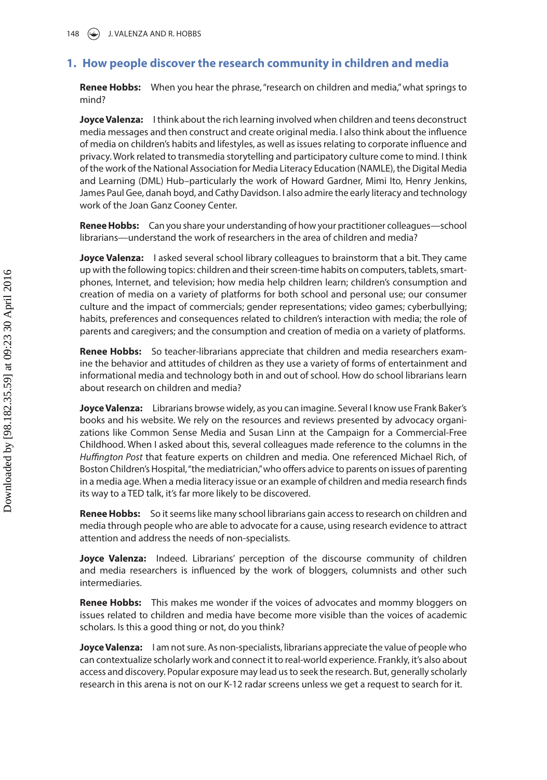## **1. How people discover the research community in children and media**

**Renee Hobbs:** When you hear the phrase, "research on children and media," what springs to mind?

**Joyce Valenza:** I think about the rich learning involved when children and teens deconstruct media messages and then construct and create original media. I also think about the influence of media on children's habits and lifestyles, as well as issues relating to corporate influence and privacy. Work related to transmedia storytelling and participatory culture come to mind. I think of the work of the National Association for Media Literacy Education (NAMLE), the Digital Media and Learning (DML) Hub–particularly the work of Howard Gardner, Mimi Ito, Henry Jenkins, James Paul Gee, danah boyd, and Cathy Davidson. I also admire the early literacy and technology work of the Joan Ganz Cooney Center.

**Renee Hobbs:** Can you share your understanding of how your practitioner colleagues—school librarians—understand the work of researchers in the area of children and media?

**Joyce Valenza:** I asked several school library colleagues to brainstorm that a bit. They came up with the following topics: children and their screen-time habits on computers, tablets, smartphones, Internet, and television; how media help children learn; children's consumption and creation of media on a variety of platforms for both school and personal use; our consumer culture and the impact of commercials; gender representations; video games; cyberbullying; habits, preferences and consequences related to children's interaction with media; the role of parents and caregivers; and the consumption and creation of media on a variety of platforms.

**Renee Hobbs:** So teacher-librarians appreciate that children and media researchers examine the behavior and attitudes of children as they use a variety of forms of entertainment and informational media and technology both in and out of school. How do school librarians learn about research on children and media?

**Joyce Valenza:** Librarians browse widely, as you can imagine. Several I know use Frank Baker's books and his website. We rely on the resources and reviews presented by advocacy organizations like Common Sense Media and Susan Linn at the Campaign for a Commercial-Free Childhood. When I asked about this, several colleagues made reference to the columns in the *Huffington Post* that feature experts on children and media. One referenced Michael Rich, of Boston Children's Hospital, "the mediatrician," who offers advice to parents on issues of parenting in a media age. When a media literacy issue or an example of children and media research finds its way to a TED talk, it's far more likely to be discovered.

**Renee Hobbs:** So it seems like many school librarians gain access to research on children and media through people who are able to advocate for a cause, using research evidence to attract attention and address the needs of non-specialists.

**Joyce Valenza:** Indeed. Librarians' perception of the discourse community of children and media researchers is influenced by the work of bloggers, columnists and other such intermediaries.

**Renee Hobbs:** This makes me wonder if the voices of advocates and mommy bloggers on issues related to children and media have become more visible than the voices of academic scholars. Is this a good thing or not, do you think?

**Joyce Valenza:** I am not sure. As non-specialists, librarians appreciate the value of people who can contextualize scholarly work and connect it to real-world experience. Frankly, it's also about access and discovery. Popular exposure may lead us to seek the research. But, generally scholarly research in this arena is not on our K-12 radar screens unless we get a request to search for it.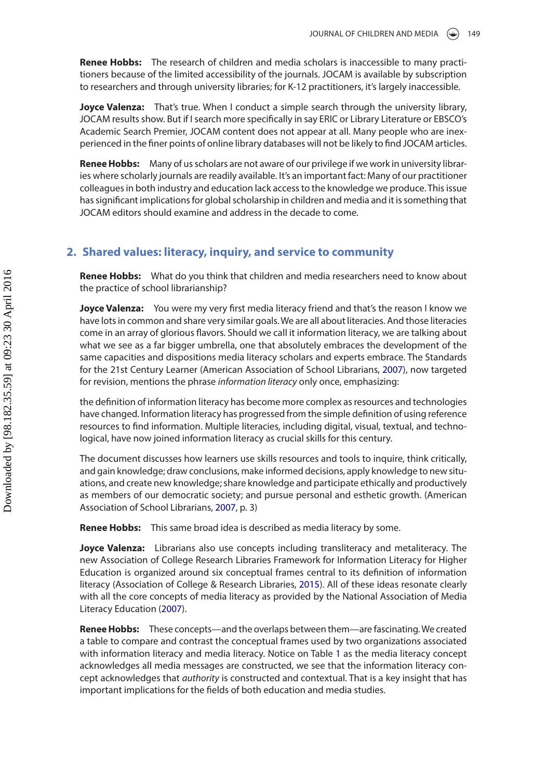**Renee Hobbs:** The research of children and media scholars is inaccessible to many practitioners because of the limited accessibility of the journals. JOCAM is available by subscription to researchers and through university libraries; for K-12 practitioners, it's largely inaccessible.

**Joyce Valenza:** That's true. When I conduct a simple search through the university library, JOCAM results show. But if I search more specifically in say ERIC or Library Literature or EBSCO's Academic Search Premier, JOCAM content does not appear at all. Many people who are inexperienced in the finer points of online library databases will not be likely to find JOCAM articles.

**Renee Hobbs:** Many of us scholars are not aware of our privilege if we work in university libraries where scholarly journals are readily available. It's an important fact: Many of our practitioner colleagues in both industry and education lack access to the knowledge we produce. This issue has significant implications for global scholarship in children and media and it is something that JOCAM editors should examine and address in the decade to come.

#### **2. Shared values: literacy, inquiry, and service to community**

**Renee Hobbs:** What do you think that children and media researchers need to know about the practice of school librarianship?

Joyce Valenza: You were my very first media literacy friend and that's the reason I know we have lots in common and share very similar goals. We are all about literacies. And those literacies come in an array of glorious flavors. Should we call it information literacy, we are talking about what we see as a far bigger umbrella, one that absolutely embraces the development of the same capacities and dispositions media literacy scholars and experts embrace. The Standards for the 21st Century Learner (American Association of School Librarians, [2007](#page-8-0)), now targeted for revision, mentions the phrase *information literacy* only once, emphasizing:

<span id="page-3-0"></span>the definition of information literacy has become more complex as resources and technologies have changed. Information literacy has progressed from the simple definition of using reference resources to find information. Multiple literacies, including digital, visual, textual, and technological, have now joined information literacy as crucial skills for this century.

The document discusses how learners use skills resources and tools to inquire, think critically, and gain knowledge; draw conclusions, make informed decisions, apply knowledge to new situations, and create new knowledge; share knowledge and participate ethically and productively as members of our democratic society; and pursue personal and esthetic growth. (American Association of School Librarians, [2007,](#page-8-0) p. 3)

**Renee Hobbs:** This same broad idea is described as media literacy by some.

**Joyce Valenza:** Librarians also use concepts including transliteracy and metaliteracy*.* The new Association of College Research Libraries Framework for Information Literacy for Higher Education is organized around six conceptual frames central to its definition of information literacy (Association of College & Research Libraries, [2015](#page-9-0)). All of these ideas resonate clearly with all the core concepts of media literacy as provided by the National Association of Media Literacy Education ([2007](#page-9-1)).

**Renee Hobbs:** These concepts—and the overlaps between them—are fascinating. We created a table to compare and contrast the conceptual frames used by two organizations associated with information literacy and media literacy. Notice on Table [1](#page-4-0) as the media literacy concept acknowledges all media messages are constructed, we see that the information literacy concept acknowledges that *authority* is constructed and contextual. That is a key insight that has important implications for the fields of both education and media studies.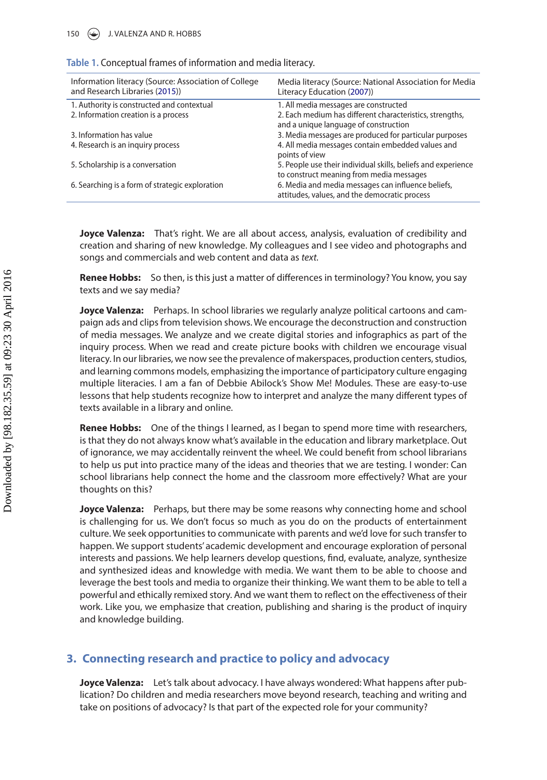<span id="page-4-2"></span><span id="page-4-1"></span>

| Information literacy (Source: Association of College<br>and Research Libraries (2015)) | Media literacy (Source: National Association for Media<br>Literacy Education (2007))                                                       |
|----------------------------------------------------------------------------------------|--------------------------------------------------------------------------------------------------------------------------------------------|
| 1. Authority is constructed and contextual<br>2. Information creation is a process     | 1. All media messages are constructed<br>2. Each medium has different characteristics, strengths,<br>and a unique language of construction |
| 3. Information has value                                                               | 3. Media messages are produced for particular purposes                                                                                     |
| 4. Research is an inquiry process                                                      | 4. All media messages contain embedded values and<br>points of view                                                                        |
| 5. Scholarship is a conversation                                                       | 5. People use their individual skills, beliefs and experience<br>to construct meaning from media messages                                  |
| 6. Searching is a form of strategic exploration                                        | 6. Media and media messages can influence beliefs,<br>attitudes, values, and the democratic process                                        |

#### <span id="page-4-0"></span>**Table 1.** Conceptual frames of information and media literacy.

**Joyce Valenza:** That's right. We are all about access, analysis, evaluation of credibility and creation and sharing of new knowledge. My colleagues and I see video and photographs and songs and commercials and web content and data as *text.*

**Renee Hobbs:** So then, is this just a matter of differences in terminology? You know, you say texts and we say media?

**Joyce Valenza:** Perhaps. In school libraries we regularly analyze political cartoons and campaign ads and clips from television shows. We encourage the deconstruction and construction of media messages. We analyze and we create digital stories and infographics as part of the inquiry process. When we read and create picture books with children we encourage visual literacy. In our libraries, we now see the prevalence of makerspaces, production centers, studios, and learning commons models, emphasizing the importance of participatory culture engaging multiple literacies. I am a fan of Debbie Abilock's Show Me! Modules. These are easy-to-use lessons that help students recognize how to interpret and analyze the many different types of texts available in a library and online.

**Renee Hobbs:** One of the things I learned, as I began to spend more time with researchers, is that they do not always know what's available in the education and library marketplace. Out of ignorance, we may accidentally reinvent the wheel. We could benefit from school librarians to help us put into practice many of the ideas and theories that we are testing. I wonder: Can school librarians help connect the home and the classroom more effectively? What are your thoughts on this?

**Joyce Valenza:** Perhaps, but there may be some reasons why connecting home and school is challenging for us. We don't focus so much as you do on the products of entertainment culture. We seek opportunities to communicate with parents and we'd love for such transfer to happen. We support students' academic development and encourage exploration of personal interests and passions. We help learners develop questions, find, evaluate, analyze, synthesize and synthesized ideas and knowledge with media. We want them to be able to choose and leverage the best tools and media to organize their thinking. We want them to be able to tell a powerful and ethically remixed story. And we want them to reflect on the effectiveness of their work. Like you, we emphasize that creation, publishing and sharing is the product of inquiry and knowledge building.

## **3. Connecting research and practice to policy and advocacy**

**Joyce Valenza:** Let's talk about advocacy. I have always wondered: What happens after publication? Do children and media researchers move beyond research, teaching and writing and take on positions of advocacy? Is that part of the expected role for your community?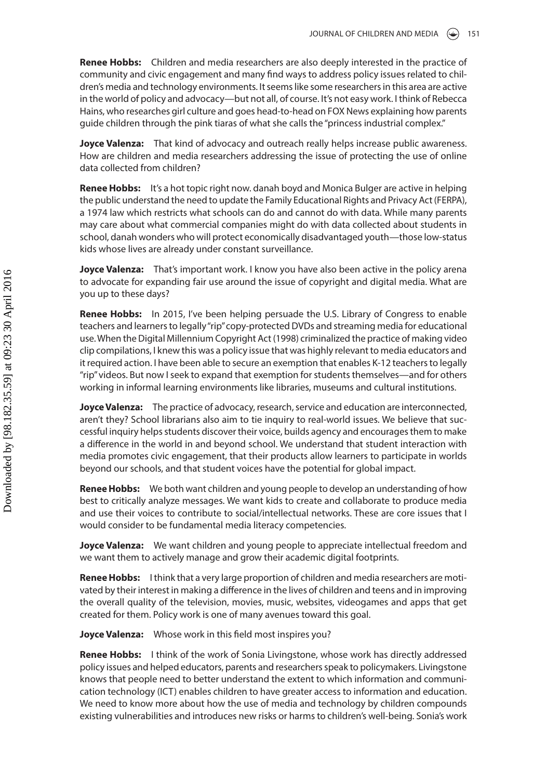**Renee Hobbs:** Children and media researchers are also deeply interested in the practice of community and civic engagement and many find ways to address policy issues related to children's media and technology environments. It seems like some researchers in this area are active in the world of policy and advocacy—but not all, of course. It's not easy work. I think of Rebecca Hains, who researches girl culture and goes head-to-head on FOX News explaining how parents guide children through the pink tiaras of what she calls the "princess industrial complex."

**Joyce Valenza:** That kind of advocacy and outreach really helps increase public awareness. How are children and media researchers addressing the issue of protecting the use of online data collected from children?

**Renee Hobbs:** It's a hot topic right now. danah boyd and Monica Bulger are active in helping the public understand the need to update the Family Educational Rights and Privacy Act (FERPA), a 1974 law which restricts what schools can do and cannot do with data. While many parents may care about what commercial companies might do with data collected about students in school, danah wonders who will protect economically disadvantaged youth—those low-status kids whose lives are already under constant surveillance.

**Joyce Valenza:** That's important work. I know you have also been active in the policy arena to advocate for expanding fair use around the issue of copyright and digital media. What are you up to these days?

**Renee Hobbs:** In 2015, I've been helping persuade the U.S. Library of Congress to enable teachers and learners to legally "rip" copy-protected DVDs and streaming media for educational use. When the Digital Millennium Copyright Act (1998) criminalized the practice of making video clip compilations, I knew this was a policy issue that was highly relevant to media educators and it required action. I have been able to secure an exemption that enables K-12 teachers to legally "rip" videos. But now I seek to expand that exemption for students themselves—and for others working in informal learning environments like libraries, museums and cultural institutions.

**Joyce Valenza:** The practice of advocacy, research, service and education are interconnected, aren't they? School librarians also aim to tie inquiry to real-world issues. We believe that successful inquiry helps students discover their voice, builds agency and encourages them to make a difference in the world in and beyond school. We understand that student interaction with media promotes civic engagement, that their products allow learners to participate in worlds beyond our schools, and that student voices have the potential for global impact.

**Renee Hobbs:** We both want children and young people to develop an understanding of how best to critically analyze messages. We want kids to create and collaborate to produce media and use their voices to contribute to social/intellectual networks. These are core issues that I would consider to be fundamental media literacy competencies.

**Joyce Valenza:** We want children and young people to appreciate intellectual freedom and we want them to actively manage and grow their academic digital footprints.

**Renee Hobbs:** I think that a very large proportion of children and media researchers are motivated by their interest in making a difference in the lives of children and teens and in improving the overall quality of the television, movies, music, websites, videogames and apps that get created for them. Policy work is one of many avenues toward this goal.

**Joyce Valenza:** Whose work in this field most inspires you?

**Renee Hobbs:** I think of the work of Sonia Livingstone, whose work has directly addressed policy issues and helped educators, parents and researchers speak to policymakers. Livingstone knows that people need to better understand the extent to which information and communication technology (ICT) enables children to have greater access to information and education. We need to know more about how the use of media and technology by children compounds existing vulnerabilities and introduces new risks or harms to children's well-being. Sonia's work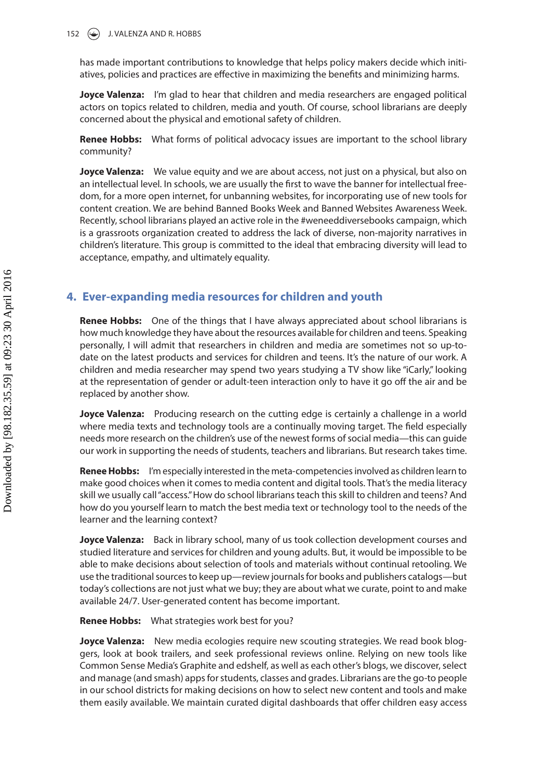#### 152 **J. VALENZA AND R. HOBBS**

has made important contributions to knowledge that helps policy makers decide which initiatives, policies and practices are effective in maximizing the benefits and minimizing harms.

**Joyce Valenza:** I'm glad to hear that children and media researchers are engaged political actors on topics related to children, media and youth. Of course, school librarians are deeply concerned about the physical and emotional safety of children.

**Renee Hobbs:** What forms of political advocacy issues are important to the school library community?

**Joyce Valenza:** We value equity and we are about access, not just on a physical, but also on an intellectual level. In schools, we are usually the first to wave the banner for intellectual freedom, for a more open internet, for unbanning websites, for incorporating use of new tools for content creation. We are behind Banned Books Week and Banned Websites Awareness Week. Recently, school librarians played an active role in the #weneeddiversebooks campaign, which is a grassroots organization created to address the lack of diverse, non-majority narratives in children's literature. This group is committed to the ideal that embracing diversity will lead to acceptance, empathy, and ultimately equality.

## **4. Ever-expanding media resources for children and youth**

**Renee Hobbs:** One of the things that I have always appreciated about school librarians is how much knowledge they have about the resources available for children and teens. Speaking personally, I will admit that researchers in children and media are sometimes not so up-todate on the latest products and services for children and teens. It's the nature of our work. A children and media researcher may spend two years studying a TV show like "iCarly," looking at the representation of gender or adult-teen interaction only to have it go off the air and be replaced by another show.

**Joyce Valenza:** Producing research on the cutting edge is certainly a challenge in a world where media texts and technology tools are a continually moving target. The field especially needs more research on the children's use of the newest forms of social media—this can guide our work in supporting the needs of students, teachers and librarians. But research takes time.

**Renee Hobbs:** I'm especially interested in the meta-competencies involved as children learn to make good choices when it comes to media content and digital tools. That's the media literacy skill we usually call "access." How do school librarians teach this skill to children and teens? And how do you yourself learn to match the best media text or technology tool to the needs of the learner and the learning context?

**Joyce Valenza:** Back in library school, many of us took collection development courses and studied literature and services for children and young adults. But, it would be impossible to be able to make decisions about selection of tools and materials without continual retooling. We use the traditional sources to keep up—review journals for books and publishers catalogs—but today's collections are not just what we buy; they are about what we curate, point to and make available 24/7. User-generated content has become important.

**Renee Hobbs:** What strategies work best for you?

**Joyce Valenza:** New media ecologies require new scouting strategies. We read book bloggers, look at book trailers, and seek professional reviews online. Relying on new tools like Common Sense Media's Graphite and edshelf, as well as each other's blogs, we discover, select and manage (and smash) apps for students, classes and grades. Librarians are the go-to people in our school districts for making decisions on how to select new content and tools and make them easily available. We maintain curated digital dashboards that offer children easy access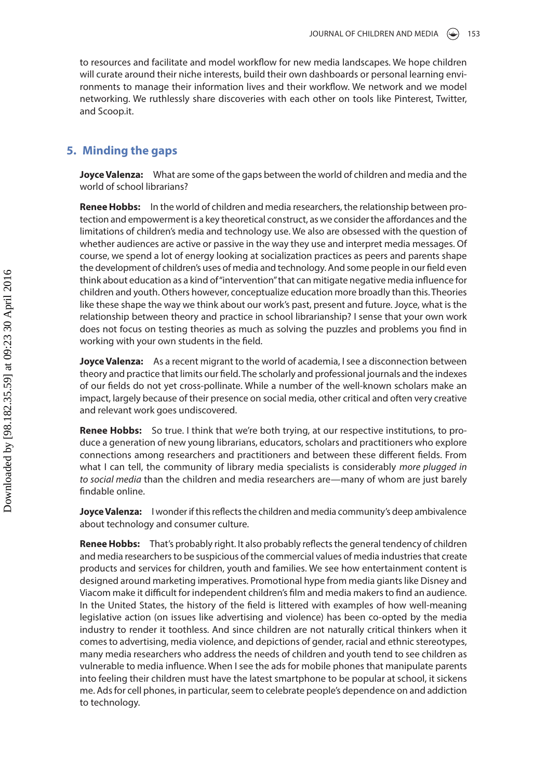to resources and facilitate and model workflow for new media landscapes. We hope children will curate around their niche interests, build their own dashboards or personal learning environments to manage their information lives and their workflow. We network and we model networking. We ruthlessly share discoveries with each other on tools like Pinterest, Twitter, and Scoop.it.

## **5. Minding the gaps**

**Joyce Valenza:** What are some of the gaps between the world of children and media and the world of school librarians?

**Renee Hobbs:** In the world of children and media researchers, the relationship between protection and empowerment is a key theoretical construct, as we consider the affordances and the limitations of children's media and technology use. We also are obsessed with the question of whether audiences are active or passive in the way they use and interpret media messages. Of course, we spend a lot of energy looking at socialization practices as peers and parents shape the development of children's uses of media and technology. And some people in our field even think about education as a kind of "intervention" that can mitigate negative media influence for children and youth. Others however, conceptualize education more broadly than this. Theories like these shape the way we think about our work's past, present and future. Joyce, what is the relationship between theory and practice in school librarianship? I sense that your own work does not focus on testing theories as much as solving the puzzles and problems you find in working with your own students in the field.

**Joyce Valenza:** As a recent migrant to the world of academia, I see a disconnection between theory and practice that limits our field. The scholarly and professional journals and the indexes of our fields do not yet cross-pollinate. While a number of the well-known scholars make an impact, largely because of their presence on social media, other critical and often very creative and relevant work goes undiscovered.

**Renee Hobbs:** So true. I think that we're both trying, at our respective institutions, to produce a generation of new young librarians, educators, scholars and practitioners who explore connections among researchers and practitioners and between these different fields. From what I can tell, the community of library media specialists is considerably *more plugged in to social media* than the children and media researchers are—many of whom are just barely findable online.

**Joyce Valenza:** I wonder if this reflects the children and media community's deep ambivalence about technology and consumer culture.

**Renee Hobbs:** That's probably right. It also probably reflects the general tendency of children and media researchers to be suspicious of the commercial values of media industries that create products and services for children, youth and families. We see how entertainment content is designed around marketing imperatives. Promotional hype from media giants like Disney and Viacom make it difficult for independent children's film and media makers to find an audience. In the United States, the history of the field is littered with examples of how well-meaning legislative action (on issues like advertising and violence) has been co-opted by the media industry to render it toothless. And since children are not naturally critical thinkers when it comes to advertising, media violence, and depictions of gender, racial and ethnic stereotypes, many media researchers who address the needs of children and youth tend to see children as vulnerable to media influence. When I see the ads for mobile phones that manipulate parents into feeling their children must have the latest smartphone to be popular at school, it sickens me. Ads for cell phones, in particular, seem to celebrate people's dependence on and addiction to technology.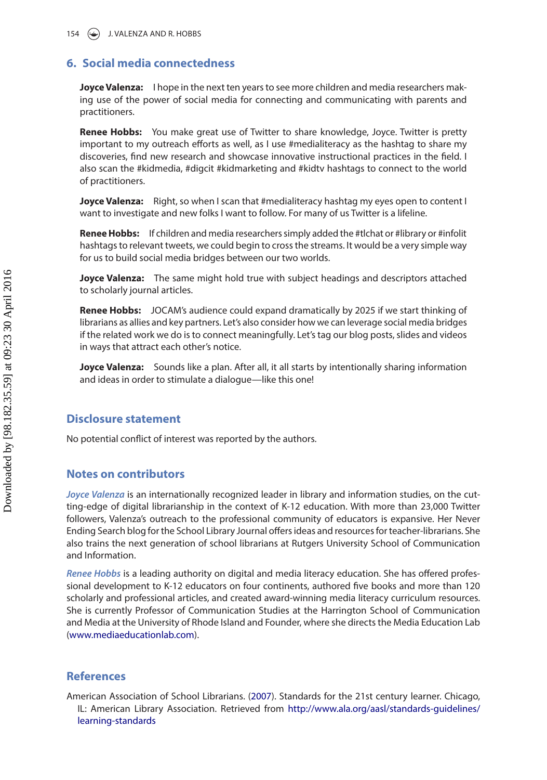## **6. Social media connectedness**

**Joyce Valenza:** I hope in the next ten years to see more children and media researchers making use of the power of social media for connecting and communicating with parents and practitioners.

**Renee Hobbs:** You make great use of Twitter to share knowledge, Joyce. Twitter is pretty important to my outreach efforts as well, as I use #medialiteracy as the hashtag to share my discoveries, find new research and showcase innovative instructional practices in the field. I also scan the #kidmedia, #digcit #kidmarketing and #kidtv hashtags to connect to the world of practitioners.

**Joyce Valenza:** Right, so when I scan that #medialiteracy hashtag my eyes open to content I want to investigate and new folks I want to follow. For many of us Twitter is a lifeline.

**Renee Hobbs:** If children and media researchers simply added the #tlchat or #library or #infolit hashtags to relevant tweets, we could begin to cross the streams. It would be a very simple way for us to build social media bridges between our two worlds.

**Joyce Valenza:** The same might hold true with subject headings and descriptors attached to scholarly journal articles.

**Renee Hobbs:** JOCAM's audience could expand dramatically by 2025 if we start thinking of librarians as allies and key partners. Let's also consider how we can leverage social media bridges if the related work we do is to connect meaningfully. Let's tag our blog posts, slides and videos in ways that attract each other's notice.

**Joyce Valenza:** Sounds like a plan. After all, it all starts by intentionally sharing information and ideas in order to stimulate a dialogue—like this one!

#### **Disclosure statement**

No potential conflict of interest was reported by the authors.

## **Notes on contributors**

*Joyce Valenza* is an internationally recognized leader in library and information studies, on the cutting-edge of digital librarianship in the context of K-12 education. With more than 23,000 Twitter followers, Valenza's outreach to the professional community of educators is expansive. Her Never Ending Search blog for the School Library Journal offers ideas and resources for teacher-librarians. She also trains the next generation of school librarians at Rutgers University School of Communication and Information.

*Renee Hobbs* is a leading authority on digital and media literacy education. She has offered professional development to K-12 educators on four continents, authored five books and more than 120 scholarly and professional articles, and created award-winning media literacy curriculum resources. She is currently Professor of Communication Studies at the Harrington School of Communication and Media at the University of Rhode Island and Founder, where she directs the Media Education Lab ([www.mediaeducationlab.com](http://www.mediaeducationlab.com)).

#### **References**

<span id="page-8-0"></span>American Association of School Librarians. [\(2007\)](#page-3-0). Standards for the 21st century learner. Chicago, IL: American Library Association. Retrieved from [http://www.ala.org/aasl/standards-guidelines/](http://www.ala.org/aasl/standards-guidelines/learning-standards) [learning-standards](http://www.ala.org/aasl/standards-guidelines/learning-standards)